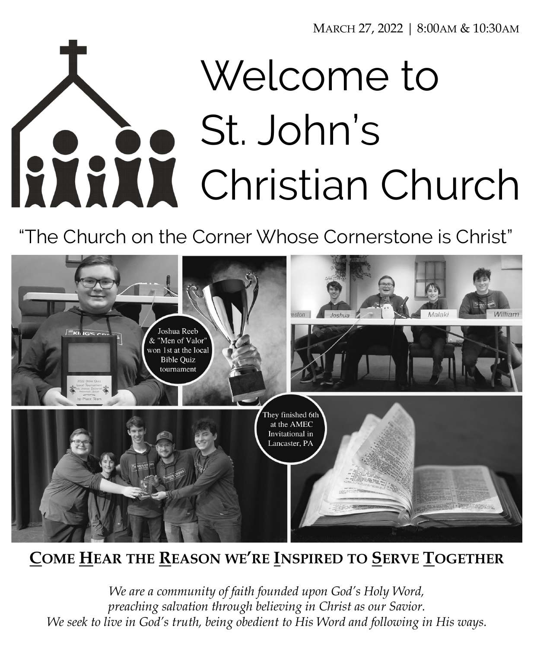MARCH 27, 2022 | 8:00AM & 10:30AM

# Welcome to St. John's RANK Christian Church

"The Church on the Corner Whose Cornerstone is Christ"



# **COME HEAR THE REASON WE'RE INSPIRED TO SERVE TOGETHER**

*We are a community of faith founded upon God's Holy Word, preaching salvation through believing in Christ as our Savior. We seek to live in God's truth, being obedient to His Word and following in His ways.*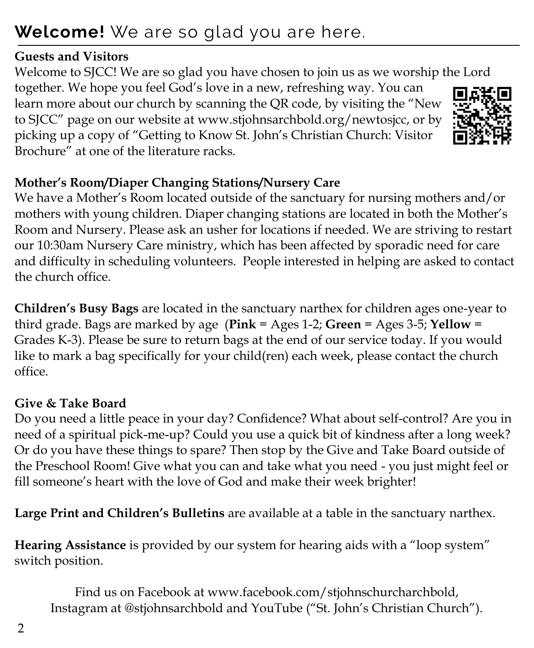# **Welcome!** We are so glad you are here.

#### **Guests and Visitors**

Welcome to SJCC! We are so glad you have chosen to join us as we worship the Lord together. We hope you feel God's love in a new, refreshing way. You can learn more about our church by scanning the QR code, by visiting the "New to SJCC" page on our website at www.stjohnsarchbold.org/newtosjcc, or by picking up a copy of "Getting to Know St. John's Christian Church: Visitor Brochure" at one of the literature racks.



We have a Mother's Room located outside of the sanctuary for nursing mothers and/or mothers with young children. Diaper changing stations are located in both the Mother's Room and Nursery. Please ask an usher for locations if needed. We are striving to restart our 10:30am Nursery Care ministry, which has been affected by sporadic need for care and difficulty in scheduling volunteers. People interested in helping are asked to contact the church office.

**Children's Busy Bags** are located in the sanctuary narthex for children ages one-year to third grade. Bags are marked by age (**Pink** = Ages 1-2; **Green** = Ages 3-5; **Yellow** = Grades K-3). Please be sure to return bags at the end of our service today. If you would like to mark a bag specifically for your child(ren) each week, please contact the church office.

## **Give & Take Board**

Do you need a little peace in your day? Confidence? What about self-control? Are you in need of a spiritual pick-me-up? Could you use a quick bit of kindness after a long week? Or do you have these things to spare? Then stop by the Give and Take Board outside of the Preschool Room! Give what you can and take what you need - you just might feel or fill someone's heart with the love of God and make their week brighter!

**Large Print and Children's Bulletins** are available at a table in the sanctuary narthex.

**Hearing Assistance** is provided by our system for hearing aids with a "loop system" switch position.

Find us on Facebook at www.facebook.com/stjohnschurcharchbold, Instagram at @stjohnsarchbold and YouTube ("St. John's Christian Church").

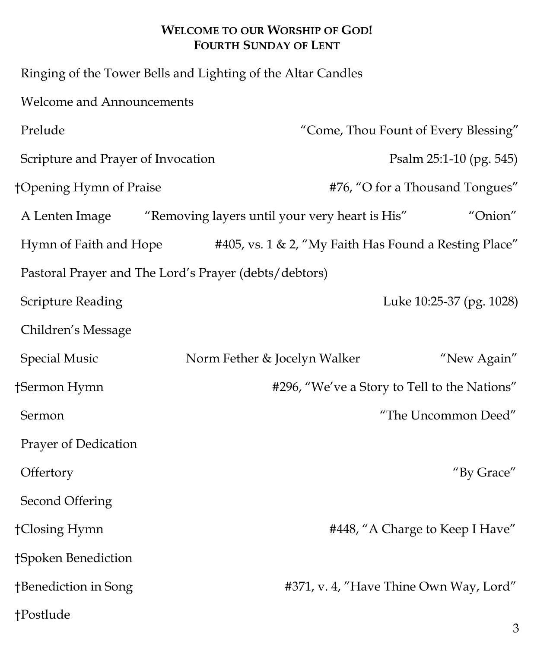#### **WELCOME TO OUR WORSHIP OF GOD! FOURTH SUNDAY OF LENT**

 Ringing of the Tower Bells and Lighting of the Altar Candles Welcome and Announcements Prelude "Come, Thou Fount of Every Blessing" Scripture and Prayer of Invocation Psalm 25:1-10 (pg. 545) †Opening Hymn of Praise #76, "O for a Thousand Tongues" A Lenten Image "Removing layers until your very heart is His" "Onion" Hymn of Faith and Hope #405, vs. 1 & 2, "My Faith Has Found a Resting Place" Pastoral Prayer and The Lord's Prayer (debts/debtors) Scripture Reading Luke 10:25-37 (pg. 1028) Children's Message Special Music Norm Fether & Jocelyn Walker "New Again" †Sermon Hymn #296, "We've a Story to Tell to the Nations" Sermon "The Uncommon Deed" Prayer of Dedication Offertory "By Grace" Second Offering †Closing Hymn #448, "A Charge to Keep I Have" †Spoken Benediction †Benediction in Song #371, v. 4, "Have Thine Own Way, Lord" †Postlude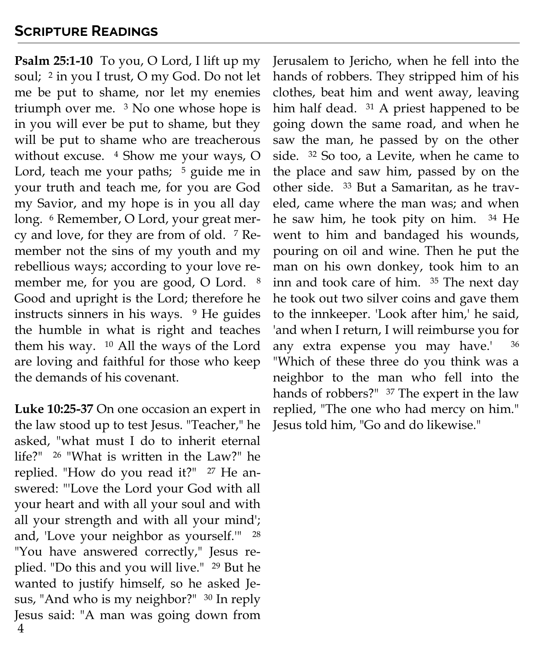#### **Scripture Readings**

**Psalm 25:1-10** To you, O Lord, I lift up my soul; <sup>2</sup> in you I trust, O my God. Do not let me be put to shame, nor let my enemies triumph over me. <sup>3</sup> No one whose hope is in you will ever be put to shame, but they will be put to shame who are treacherous without excuse. <sup>4</sup> Show me your ways, O Lord, teach me your paths;  $5$  guide me in your truth and teach me, for you are God my Savior, and my hope is in you all day long. <sup>6</sup> Remember, O Lord, your great mercy and love, for they are from of old. <sup>7</sup> Remember not the sins of my youth and my rebellious ways; according to your love remember me, for you are good, O Lord. <sup>8</sup> Good and upright is the Lord; therefore he instructs sinners in his ways. <sup>9</sup> He guides the humble in what is right and teaches them his way. <sup>10</sup> All the ways of the Lord are loving and faithful for those who keep the demands of his covenant.

4 **Luke 10:25-37** On one occasion an expert in the law stood up to test Jesus. "Teacher," he asked, "what must I do to inherit eternal life?" <sup>26</sup> "What is written in the Law?" he replied. "How do you read it?" <sup>27</sup> He answered: "'Love the Lord your God with all your heart and with all your soul and with all your strength and with all your mind'; and, 'Love your neighbor as yourself.'" <sup>28</sup> "You have answered correctly," Jesus replied. "Do this and you will live." <sup>29</sup> But he wanted to justify himself, so he asked Jesus, "And who is my neighbor?" <sup>30</sup> In reply Jesus said: "A man was going down from Jerusalem to Jericho, when he fell into the hands of robbers. They stripped him of his clothes, beat him and went away, leaving him half dead. <sup>31</sup> A priest happened to be going down the same road, and when he saw the man, he passed by on the other side. <sup>32</sup> So too, a Levite, when he came to the place and saw him, passed by on the other side. <sup>33</sup> But a Samaritan, as he traveled, came where the man was; and when he saw him, he took pity on him. <sup>34</sup> He went to him and bandaged his wounds, pouring on oil and wine. Then he put the man on his own donkey, took him to an inn and took care of him. <sup>35</sup> The next day he took out two silver coins and gave them to the innkeeper. 'Look after him,' he said, 'and when I return, I will reimburse you for any extra expense you may have.' <sup>36</sup> "Which of these three do you think was a neighbor to the man who fell into the hands of robbers?" <sup>37</sup> The expert in the law replied, "The one who had mercy on him." Jesus told him, "Go and do likewise."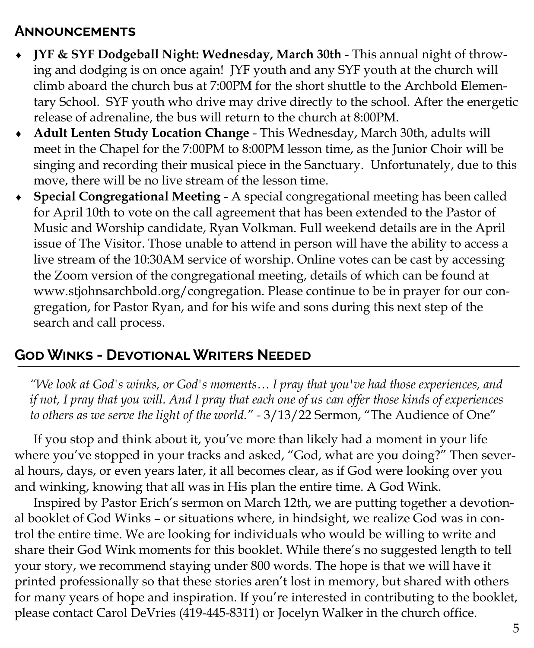#### **Announcements**

- **JYF & SYF Dodgeball Night: Wednesday, March 30th**  This annual night of throwing and dodging is on once again! JYF youth and any SYF youth at the church will climb aboard the church bus at 7:00PM for the short shuttle to the Archbold Elementary School. SYF youth who drive may drive directly to the school. After the energetic release of adrenaline, the bus will return to the church at 8:00PM.
- **Adult Lenten Study Location Change**  This Wednesday, March 30th, adults will meet in the Chapel for the 7:00PM to 8:00PM lesson time, as the Junior Choir will be singing and recording their musical piece in the Sanctuary. Unfortunately, due to this move, there will be no live stream of the lesson time.
- **Special Congregational Meeting**  A special congregational meeting has been called for April 10th to vote on the call agreement that has been extended to the Pastor of Music and Worship candidate, Ryan Volkman. Full weekend details are in the April issue of The Visitor. Those unable to attend in person will have the ability to access a live stream of the 10:30AM service of worship. Online votes can be cast by accessing the Zoom version of the congregational meeting, details of which can be found at www.stjohnsarchbold.org/congregation. Please continue to be in prayer for our congregation, for Pastor Ryan, and for his wife and sons during this next step of the search and call process.

#### **God Winks - Devotional Writers Needed**

*"We look at God's winks, or God's moments… I pray that you've had those experiences, and if not, I pray that you will. And I pray that each one of us can offer those kinds of experiences to others as we serve the light of the world." -* 3/13/22 Sermon, "The Audience of One"

If you stop and think about it, you've more than likely had a moment in your life where you've stopped in your tracks and asked, "God, what are you doing?" Then several hours, days, or even years later, it all becomes clear, as if God were looking over you and winking, knowing that all was in His plan the entire time. A God Wink.

Inspired by Pastor Erich's sermon on March 12th, we are putting together a devotional booklet of God Winks – or situations where, in hindsight, we realize God was in control the entire time. We are looking for individuals who would be willing to write and share their God Wink moments for this booklet. While there's no suggested length to tell your story, we recommend staying under 800 words. The hope is that we will have it printed professionally so that these stories aren't lost in memory, but shared with others for many years of hope and inspiration. If you're interested in contributing to the booklet, please contact Carol DeVries (419-445-8311) or Jocelyn Walker in the church office.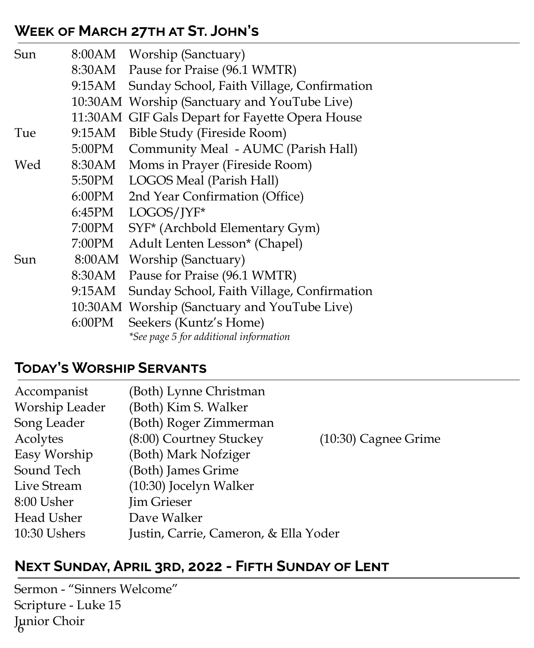#### **Week of March 27th at St. John's**

| Sun |        | 8:00AM Worship (Sanctuary)                       |
|-----|--------|--------------------------------------------------|
|     |        | 8:30AM Pause for Praise (96.1 WMTR)              |
|     | 9:15AM | Sunday School, Faith Village, Confirmation       |
|     |        | 10:30AM Worship (Sanctuary and YouTube Live)     |
|     |        | 11:30 AM GIF Gals Depart for Fayette Opera House |
| Tue | 9:15AM | Bible Study (Fireside Room)                      |
|     | 5:00PM | Community Meal - AUMC (Parish Hall)              |
| Wed |        | 8:30AM Moms in Prayer (Fireside Room)            |
|     |        | 5:50PM LOGOS Meal (Parish Hall)                  |
|     | 6:00PM | 2nd Year Confirmation (Office)                   |
|     |        | 6:45PM LOGOS/JYF*                                |
|     | 7:00PM | SYF* (Archbold Elementary Gym)                   |
|     | 7:00PM | Adult Lenten Lesson* (Chapel)                    |
| Sun |        | 8:00AM Worship (Sanctuary)                       |
|     | 8:30AM | Pause for Praise (96.1 WMTR)                     |
|     | 9:15AM | Sunday School, Faith Village, Confirmation       |
|     |        | 10:30AM Worship (Sanctuary and YouTube Live)     |
|     | 6:00PM | Seekers (Kuntz's Home)                           |
|     |        | *See page 5 for additional information           |

#### **Today's Worship Servants**

| Accompanist    | (Both) Lynne Christman                |                        |
|----------------|---------------------------------------|------------------------|
| Worship Leader | (Both) Kim S. Walker                  |                        |
| Song Leader    | (Both) Roger Zimmerman                |                        |
| Acolytes       | (8:00) Courtney Stuckey               | $(10:30)$ Cagnee Grime |
| Easy Worship   | (Both) Mark Nofziger                  |                        |
| Sound Tech     | (Both) James Grime                    |                        |
| Live Stream    | (10:30) Jocelyn Walker                |                        |
| 8:00 Usher     | <b>Jim Grieser</b>                    |                        |
| Head Usher     | Dave Walker                           |                        |
| 10:30 Ushers   | Justin, Carrie, Cameron, & Ella Yoder |                        |

## **Next Sunday, April 3rd, 2022 - Fifth Sunday of Lent**

6 Junior Choir Sermon - "Sinners Welcome" Scripture - Luke 15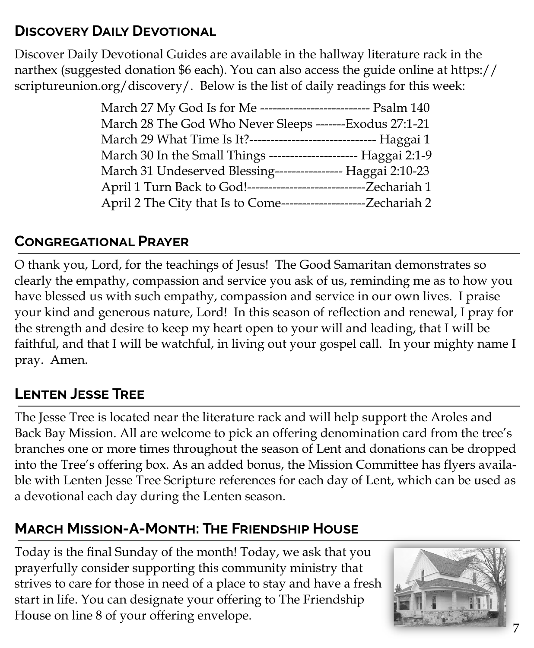#### **Discovery Daily Devotional**

Discover Daily Devotional Guides are available in the hallway literature rack in the narthex (suggested donation \$6 each). You can also access the guide online at https:// scriptureunion.org/discovery/. Below is the list of daily readings for this week:

| March 27 My God Is for Me -------------------------- Psalm 140    |  |
|-------------------------------------------------------------------|--|
| March 28 The God Who Never Sleeps -------Exodus 27:1-21           |  |
| March 29 What Time Is It?------------------------------ Haggai 1  |  |
| March 30 In the Small Things --------------------- Haggai 2:1-9   |  |
| March 31 Undeserved Blessing----------------- Haggai 2:10-23      |  |
| April 1 Turn Back to God!-----------------------------Zechariah 1 |  |
| April 2 The City that Is to Come---------------------Zechariah 2  |  |

#### **Congregational Prayer**

O thank you, Lord, for the teachings of Jesus! The Good Samaritan demonstrates so clearly the empathy, compassion and service you ask of us, reminding me as to how you have blessed us with such empathy, compassion and service in our own lives. I praise your kind and generous nature, Lord! In this season of reflection and renewal, I pray for the strength and desire to keep my heart open to your will and leading, that I will be faithful, and that I will be watchful, in living out your gospel call. In your mighty name I pray. Amen.

## **Lenten Jesse Tree**

The Jesse Tree is located near the literature rack and will help support the Aroles and Back Bay Mission. All are welcome to pick an offering denomination card from the tree's branches one or more times throughout the season of Lent and donations can be dropped into the Tree's offering box. As an added bonus, the Mission Committee has flyers available with Lenten Jesse Tree Scripture references for each day of Lent, which can be used as a devotional each day during the Lenten season.

# **March Mission-A-Month: The Friendship House**

Today is the final Sunday of the month! Today, we ask that you prayerfully consider supporting this community ministry that strives to care for those in need of a place to stay and have a fresh start in life. You can designate your offering to The Friendship House on line 8 of your offering envelope.